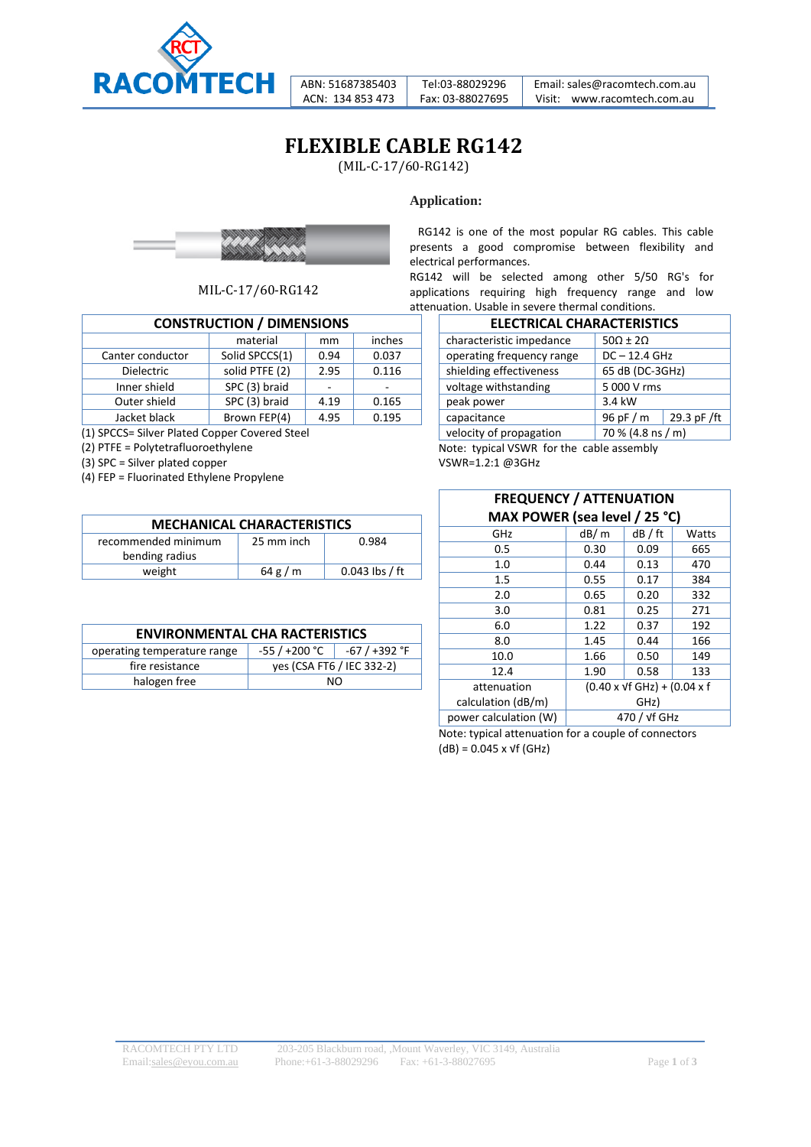

ABN: 51687385403 ACN: 134 853 473

Tel:03-88029296 Fax: 03-88027695 Email: sales@racomtech.com.au Visit: www.racomtech.com.au

## **FLEXIBLE CABLE RG142**

(MIL-C-17/60-RG142)

#### **Application:**



MIL-C-17/60-RG142

| <b>CONSTRUCTION / DIMENSIONS</b> |                |      |        |
|----------------------------------|----------------|------|--------|
|                                  | material       | mm   | inches |
| Canter conductor                 | Solid SPCCS(1) | 0.94 | 0.037  |
| <b>Dielectric</b>                | solid PTFE (2) | 2.95 | 0.116  |
| Inner shield                     | SPC (3) braid  |      |        |
| Outer shield                     | SPC (3) braid  | 4.19 | 0.165  |
| Jacket black                     | Brown FEP(4)   | 4.95 | 0.195  |

(1) SPCCS= Silver Plated Copper Covered Steel

(2) PTFE = Polytetrafluoroethylene

(3) SPC = Silver plated copper

(4) FEP = Fluorinated Ethylene Propylene

| <b>MECHANICAL CHARACTERISTICS</b> |            |                  |  |
|-----------------------------------|------------|------------------|--|
| recommended minimum               | 25 mm inch | 0.984            |  |
| bending radius                    |            |                  |  |
| weight                            | 64 g/m     | $0.043$ lbs / ft |  |

| <b>ENVIRONMENTAL CHA RACTERISTICS</b> |                           |               |  |
|---------------------------------------|---------------------------|---------------|--|
| operating temperature range           | -55 / +200 °C             | -67 / +392 °F |  |
| fire resistance                       | yes (CSA FT6 / IEC 332-2) |               |  |
| halogen free                          | NO.                       |               |  |

 RG142 is one of the most popular RG cables. This cable presents a good compromise between flexibility and electrical performances.

RG142 will be selected among other 5/50 RG's for applications requiring high frequency range and low attenuation. Usable in severe thermal conditions.

| <b>ELECTRICAL CHARACTERISTICS</b> |                         |  |  |  |
|-----------------------------------|-------------------------|--|--|--|
| characteristic impedance          | $50\Omega \pm 2\Omega$  |  |  |  |
| operating frequency range         | $DC - 12.4$ GHz         |  |  |  |
| shielding effectiveness           | 65 dB (DC-3GHz)         |  |  |  |
| voltage withstanding              | 5 000 V rms             |  |  |  |
| peak power                        | 3.4 kW                  |  |  |  |
| capacitance                       | 29.3 pF/ft<br>96 pF / m |  |  |  |
| velocity of propagation           | 70 % (4.8 ns / m)       |  |  |  |

Note: typical VSWR for the cable assembly VSWR=1.2:1 @3GHz

#### **FREQUENCY / ATTENUATION MAX POWER (sea level / 25 °C)**

| GHz                   | dB/m                                                   | dB / ft | Watts |  |
|-----------------------|--------------------------------------------------------|---------|-------|--|
| 0.5                   | 0.30                                                   | 0.09    | 665   |  |
| 1.0                   | 0.44                                                   | 0.13    | 470   |  |
| 1.5                   | 0.55                                                   | 0.17    | 384   |  |
| 2.0                   | 0.65                                                   | 0.20    | 332   |  |
| 3.0                   | 0.81                                                   | 0.25    | 271   |  |
| 6.0                   | 1.22                                                   | 0.37    | 192   |  |
| 8.0                   | 1.45                                                   | 0.44    | 166   |  |
| 10.0                  | 1.66                                                   | 0.50    | 149   |  |
| 12.4                  | 1.90                                                   | 0.58    | 133   |  |
| attenuation           | $(0.40 \times \sqrt{f} \text{ GHz}) + (0.04 \times f)$ |         |       |  |
| calculation (dB/m)    | GHz)                                                   |         |       |  |
| power calculation (W) | 470 / vf GHz                                           |         |       |  |

Note: typical attenuation for a couple of connectors  $(dB) = 0.045 \times \sqrt{f}$  (GHz)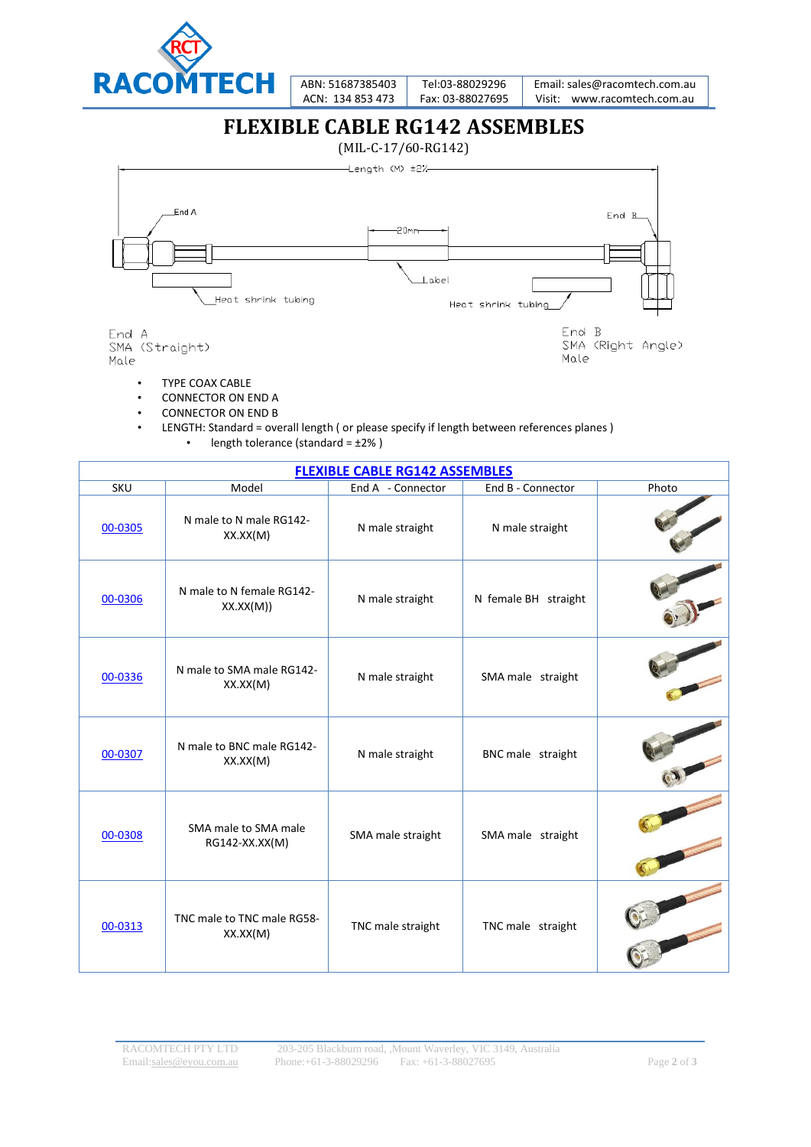

ABN: 51687385403 ACN: 134 853 473

Tel:03-88029296 Fax: 03-88027695 Email: sales@racomtech.com.au Visit: www.racomtech.com.au

### **FLEXIBLE CABLE RG142 ASSEMBLES**



- TYPE COAX CABLE
- CONNECTOR ON END A
- CONNECTOR ON END B
- LENGTH: Standard = overall length ( or please specify if length between references planes ) • length tolerance (standard =  $\pm 2\%$  )

| <b>FLEXIBLE CABLE RG142 ASSEMBLES</b> |                                        |                   |                      |       |
|---------------------------------------|----------------------------------------|-------------------|----------------------|-------|
| SKU                                   | Model                                  | End A - Connector | End B - Connector    | Photo |
| 00-0305                               | N male to N male RG142-<br>XX.XX(M)    | N male straight   | N male straight      |       |
| 00-0306                               | N male to N female RG142-<br>XX.XX(M)) | N male straight   | N female BH straight |       |
| 00-0336                               | N male to SMA male RG142-<br>XX.XX(M)  | N male straight   | SMA male straight    |       |
| 00-0307                               | N male to BNC male RG142-<br>XX.XX(M)  | N male straight   | BNC male straight    |       |
| 00-0308                               | SMA male to SMA male<br>RG142-XX.XX(M) | SMA male straight | SMA male straight    |       |
| 00-0313                               | TNC male to TNC male RG58-<br>XX.XX(M) | TNC male straight | TNC male straight    |       |